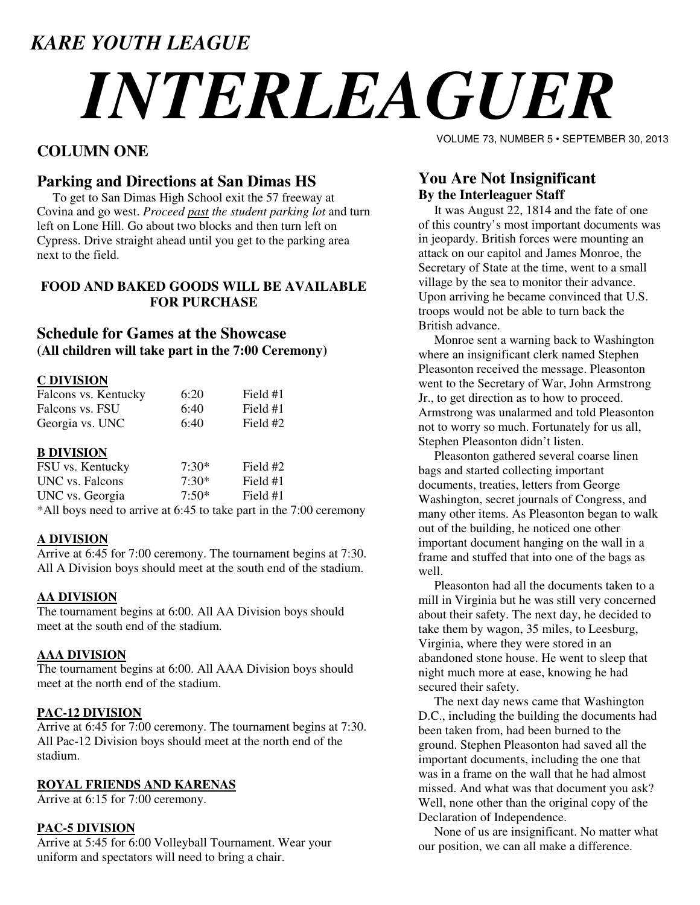# *KARE YOUTH LEAGUE*

# *INTERLEAGUER*

# **COLUMN ONE**

# **Parking and Directions at San Dimas HS**

 To get to San Dimas High School exit the 57 freeway at Covina and go west. *Proceed past the student parking lot* and turn left on Lone Hill. Go about two blocks and then turn left on Cypress. Drive straight ahead until you get to the parking area next to the field.

# **FOOD AND BAKED GOODS WILL BE AVAILABLE FOR PURCHASE**

# **Schedule for Games at the Showcase (All children will take part in the 7:00 Ceremony)**

# **C DIVISION**

| Falcons vs. Kentucky | 6:20 | Field #1 |
|----------------------|------|----------|
| Falcons vs. FSU      | 6:40 | Field #1 |
| Georgia vs. UNC      | 6:40 | Field #2 |

# **B DIVISION**

| FSU vs. Kentucky                  | $7:30*$ | Field #2 |  |
|-----------------------------------|---------|----------|--|
| UNC vs. Falcons                   | $7:30*$ | Field #1 |  |
| UNC vs. Georgia                   | $7:50*$ | Field #1 |  |
| $+111$ 1, $+1$ 1, $+1$ 1, $+1$ 00 |         |          |  |

\*All boys need to arrive at 6:45 to take part in the 7:00 ceremony

# **A DIVISION**

Arrive at 6:45 for 7:00 ceremony. The tournament begins at 7:30. All A Division boys should meet at the south end of the stadium.

# **AA DIVISION**

The tournament begins at 6:00. All AA Division boys should meet at the south end of the stadium.

# **AAA DIVISION**

The tournament begins at 6:00. All AAA Division boys should meet at the north end of the stadium.

# **PAC-12 DIVISION**

Arrive at 6:45 for 7:00 ceremony. The tournament begins at 7:30. All Pac-12 Division boys should meet at the north end of the stadium.

# **ROYAL FRIENDS AND KARENAS**

Arrive at 6:15 for 7:00 ceremony.

# **PAC-5 DIVISION**

Arrive at 5:45 for 6:00 Volleyball Tournament. Wear your uniform and spectators will need to bring a chair.

VOLUME 73, NUMBER 5 • SEPTEMBER 30, 2013

# **You Are Not Insignificant By the Interleaguer Staff**

 It was August 22, 1814 and the fate of one of this country's most important documents was in jeopardy. British forces were mounting an attack on our capitol and James Monroe, the Secretary of State at the time, went to a small village by the sea to monitor their advance. Upon arriving he became convinced that U.S. troops would not be able to turn back the British advance.

 Monroe sent a warning back to Washington where an insignificant clerk named Stephen Pleasonton received the message. Pleasonton went to the Secretary of War, John Armstrong Jr., to get direction as to how to proceed. Armstrong was unalarmed and told Pleasonton not to worry so much. Fortunately for us all, Stephen Pleasonton didn't listen.

 Pleasonton gathered several coarse linen bags and started collecting important documents, treaties, letters from George Washington, secret journals of Congress, and many other items. As Pleasonton began to walk out of the building, he noticed one other important document hanging on the wall in a frame and stuffed that into one of the bags as well.

 Pleasonton had all the documents taken to a mill in Virginia but he was still very concerned about their safety. The next day, he decided to take them by wagon, 35 miles, to Leesburg, Virginia, where they were stored in an abandoned stone house. He went to sleep that night much more at ease, knowing he had secured their safety.

 The next day news came that Washington D.C., including the building the documents had been taken from, had been burned to the ground. Stephen Pleasonton had saved all the important documents, including the one that was in a frame on the wall that he had almost missed. And what was that document you ask? Well, none other than the original copy of the Declaration of Independence.

 None of us are insignificant. No matter what our position, we can all make a difference.